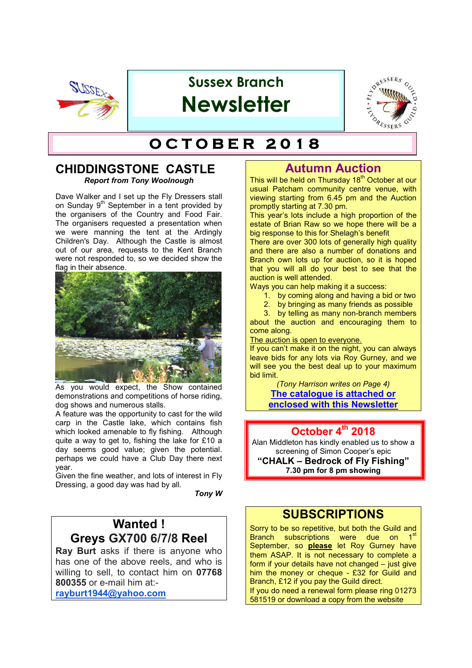

# **Sussex Branch Newsletter**



# $O$  **CTOBER 2018**

#### **CHIDDINGSTONE CASTLE** *Report from Tony Woolnough*

Dave Walker and I set up the Fly Dressers stall on Sunday  $9<sup>th</sup>$  September in a tent provided by the organisers of the Country and Food Fair. The organisers requested a presentation when we were manning the tent at the Ardingly Children's Day. Although the Castle is almost out of our area, requests to the Kent Branch were not responded to, so we decided show the flag in their absence.



As you would expect, the Show contained demonstrations and competitions of horse riding, dog shows and numerous stalls.

A feature was the opportunity to cast for the wild carp in the Castle lake, which contains fish which looked amenable to fly fishing. Although quite a way to get to, fishing the lake for £10 a day seems good value; given the potential. perhaps we could have a Club Day there next year.

Given the fine weather, and lots of interest in Fly Dressing, a good day was had by all.

*Tony W*

# **Wanted ! Greys GX700 6/7/8 Reel**

**Ray Burt** asks if there is anyone who has one of the above reels, and who is willing to sell, to contact him on **07768 800355** or e-mail him at:-

**rayburt1944@yahoo.com**

# **Autumn Auction**

This will be held on Thursday 18<sup>th</sup> October at our usual Patcham community centre venue, with viewing starting from 6.45 pm and the Auction promptly starting at 7.30 pm.

This year's lots include a high proportion of the estate of Brian Raw so we hope there will be a big response to this for Shelagh's benefit

There are over 300 lots of generally high quality and there are also a number of donations and Branch own lots up for auction, so it is hoped that you will all do your best to see that the auction is well attended.

Ways you can help making it a success:

1. by coming along and having a bid or two

2. by bringing as many friends as possible

3. by telling as many non-branch members about the auction and encouraging them to come along.

The auction is open to everyone.

If you can't make it on the night, you can always leave bids for any lots via Roy Gurney, and we will see you the best deal up to your maximum bid limit.

*(Tony Harrison writes on Page 4)* **The catalogue is attached or enclosed with this Newsletter**

### **October 4th 2018**

Alan Middleton has kindly enabled us to show a screening of Simon Cooper's epic **"CHALK – Bedrock of Fly Fishing" 7.30 pm for 8 pm showing**

## **SUBSCRIPTIONS**

Sorry to be so repetitive, but both the Guild and Branch subscriptions were due on 1<sup>st</sup> September, so **please** let Roy Gurney have them ASAP. It is not necessary to complete a form if your details have not changed – just give him the money or cheque - £32 for Guild and Branch, £12 if you pay the Guild direct. If you do need a renewal form please ring 01273 581519 or download a copy from the website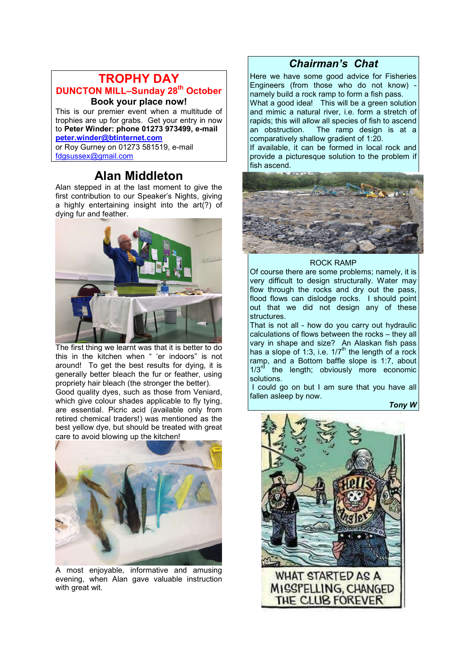## **TROPHY DAY DUNCTON MILL-Sunday 28<sup>th</sup> October Book your place now!**

This is our premier event when a multitude of trophies are up for grabs. Get your entry in now to **Peter Winder: phone 01273 973499, e-mail peter.winder@btinternet.com**

or Roy Gurney on 01273 581519, e-mail fdgsussex@gmail.com

# **Alan Middleton**

Alan stepped in at the last moment to give the first contribution to our Speaker's Nights, giving a highly entertaining insight into the art(?) of dying fur and feather.



The first thing we learnt was that it is better to do this in the kitchen when " 'er indoors" is not around! To get the best results for dying, it is generally better bleach the fur or feather, using propriety hair bleach (the stronger the better).

Good quality dyes, such as those from Veniard, which give colour shades applicable to fly tying, are essential. Picric acid (available only from retired chemical traders!) was mentioned as the best yellow dye, but should be treated with great care to avoid blowing up the kitchen!



A most enjoyable, informative and amusing evening, when Alan gave valuable instruction with great wit.

## *Chairman's Chat*

Here we have some good advice for Fisheries Engineers (from those who do not know) namely build a rock ramp to form a fish pass. What a good idea! This will be a green solution and mimic a natural river, i.e. form a stretch of rapids; this will allow all species of fish to ascend an obstruction. The ramp design is at a comparatively shallow gradient of 1:20.

If available, it can be formed in local rock and provide a picturesque solution to the problem if fish ascend.



#### ROCK RAMP

Of course there are some problems; namely, it is very difficult to design structurally. Water may flow through the rocks and dry out the pass, flood flows can dislodge rocks. I should point out that we did not design any of these structures.

That is not all - how do you carry out hydraulic calculations of flows between the rocks – they all vary in shape and size? An Alaskan fish pass has a slope of 1:3, i.e.  $1/7<sup>th</sup>$  the length of a rock ramp, and a Bottom baffle slope is 1:7, about  $1/3<sup>rd</sup>$  the length; obviously more economic solutions.

 I could go on but I am sure that you have all fallen asleep by now.

*Tony W*

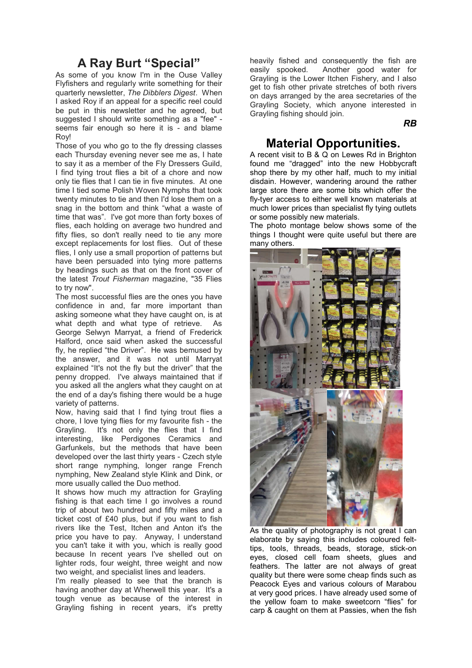# **A Ray Burt "Special"**

As some of you know I'm in the Ouse Valley Flyfishers and regularly write something for their quarterly newsletter, *The Dibblers Digest*. When I asked Roy if an appeal for a specific reel could be put in this newsletter and he agreed, but suggested I should write something as a "fee" seems fair enough so here it is - and blame **Royl** 

Those of you who go to the fly dressing classes each Thursday evening never see me as, I hate to say it as a member of the Fly Dressers Guild, I find tying trout flies a bit of a chore and now only tie flies that I can tie in five minutes. At one time I tied some Polish Woven Nymphs that took twenty minutes to tie and then I'd lose them on a snag in the bottom and think "what a waste of time that was". I've got more than forty boxes of flies, each holding on average two hundred and fifty flies, so don't really need to tie any more except replacements for lost flies. Out of these flies, I only use a small proportion of patterns but have been persuaded into tying more patterns by headings such as that on the front cover of the latest *Trout Fisherman* magazine, "35 Flies to try now".

The most successful flies are the ones you have confidence in and, far more important than asking someone what they have caught on, is at what depth and what type of retrieve. As George Selwyn Marryat, a friend of Frederick Halford, once said when asked the successful fly, he replied "the Driver". He was bemused by the answer, and it was not until Marryat explained "It's not the fly but the driver" that the penny dropped. I've always maintained that if you asked all the anglers what they caught on at the end of a day's fishing there would be a huge variety of patterns.

Now, having said that I find tying trout flies a chore, I love tying flies for my favourite fish - the Grayling. It's not only the flies that I find interesting, like Perdigones Ceramics and Garfunkels, but the methods that have been developed over the last thirty years - Czech style short range nymphing, longer range French nymphing, New Zealand style Klink and Dink, or more usually called the Duo method.

It shows how much my attraction for Grayling fishing is that each time I go involves a round trip of about two hundred and fifty miles and a ticket cost of £40 plus, but if you want to fish rivers like the Test, Itchen and Anton it's the price you have to pay. Anyway, I understand you can't take it with you, which is really good because In recent years I've shelled out on lighter rods, four weight, three weight and now two weight, and specialist lines and leaders.

I'm really pleased to see that the branch is having another day at Wherwell this year. It's a tough venue as because of the interest in Grayling fishing in recent years, it's pretty

heavily fished and consequently the fish are easily spooked. Another good water for Grayling is the Lower Itchen Fishery, and I also get to fish other private stretches of both rivers on days arranged by the area secretaries of the Grayling Society, which anyone interested in Grayling fishing should join.

*RB*

## **Material Opportunities.**

A recent visit to B & Q on Lewes Rd in Brighton found me "dragged" into the new Hobbycraft shop there by my other half, much to my initial disdain. However, wandering around the rather large store there are some bits which offer the fly-tyer access to either well known materials at much lower prices than specialist fly tying outlets or some possibly new materials.

The photo montage below shows some of the things I thought were quite useful but there are many others.



As the quality of photography is not great  $\overline{I}$  can elaborate by saying this includes coloured felttips, tools, threads, beads, storage, stick-on eyes, closed cell foam sheets, glues and feathers. The latter are not always of great quality but there were some cheap finds such as Peacock Eyes and various colours of Marabou at very good prices. I have already used some of the yellow foam to make sweetcorn "flies" for carp & caught on them at Passies, when the fish